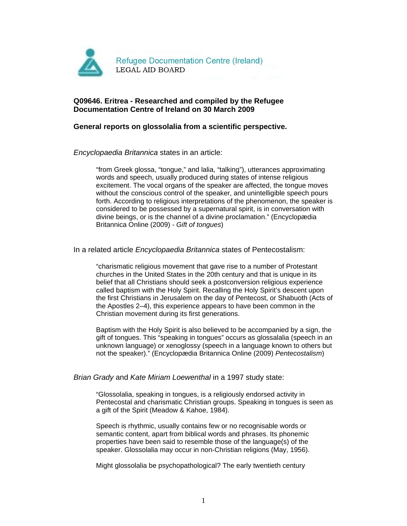

# **Q09646. Eritrea - Researched and compiled by the Refugee Documentation Centre of Ireland on 30 March 2009**

## **General reports on glossolalia from a scientific perspective.**

### Encyclopaedia Britannica states in an article:

"from Greek glossa, "tongue," and lalia, "talking"), utterances approximating words and speech, usually produced during states of intense religious excitement. The vocal organs of the speaker are affected, the tongue moves without the conscious control of the speaker, and unintelligible speech pours forth. According to religious interpretations of the phenomenon, the speaker is considered to be possessed by a supernatural spirit, is in conversation with divine beings, or is the channel of a divine proclamation." (Encyclopædia Britannica Online (2009) - Gift of tongues)

### In a related article Encyclopaedia Britannica states of Pentecostalism:

"charismatic religious movement that gave rise to a number of Protestant churches in the United States in the 20th century and that is unique in its belief that all Christians should seek a postconversion religious experience called baptism with the Holy Spirit. Recalling the Holy Spirit's descent upon the first Christians in Jerusalem on the day of Pentecost, or Shabuoth (Acts of the Apostles 2–4), this experience appears to have been common in the Christian movement during its first generations.

Baptism with the Holy Spirit is also believed to be accompanied by a sign, the gift of tongues. This "speaking in tongues" occurs as glossalalia (speech in an unknown language) or xenoglossy (speech in a language known to others but not the speaker)." (Encyclopædia Britannica Online (2009) Pentecostalism)

### Brian Grady and Kate Miriam Loewenthal in a 1997 study state:

"Glossolalia, speaking in tongues, is a religiously endorsed activity in Pentecostal and charismatic Christian groups. Speaking in tongues is seen as a gift of the Spirit (Meadow & Kahoe, 1984).

Speech is rhythmic, usually contains few or no recognisable words or semantic content, apart from biblical words and phrases. Its phonemic properties have been said to resemble those of the language(s) of the speaker. Glossolalia may occur in non-Christian religions (May, 1956).

Might glossolalia be psychopathological? The early twentieth century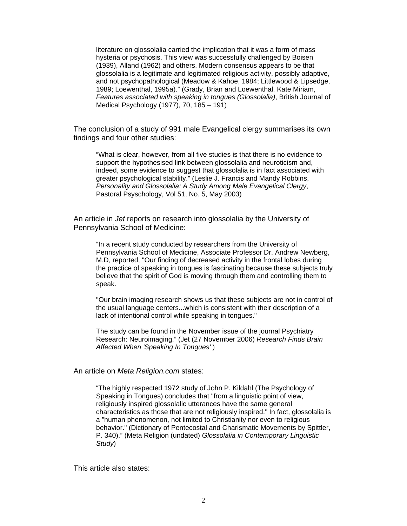literature on glossolalia carried the implication that it was a form of mass hysteria or psychosis. This view was successfully challenged by Boisen (1939), Alland (1962) and others. Modern consensus appears to be that glossolalia is a legitimate and legitimated religious activity, possibly adaptive, and not psychopathological (Meadow & Kahoe, 1984; Littlewood & Lipsedge, 1989; Loewenthal, 1995a)." (Grady, Brian and Loewenthal, Kate Miriam, Features associated with speaking in tongues (Glossolalia), British Journal of Medical Psychology (1977), 70, 185 – 191)

The conclusion of a study of 991 male Evangelical clergy summarises its own findings and four other studies:

"What is clear, however, from all five studies is that there is no evidence to support the hypothesised link between glossolalia and neuroticism and, indeed, some evidence to suggest that glossolalia is in fact associated with greater psychological stability." (Leslie J. Francis and Mandy Robbins, Personality and Glossolalia: A Study Among Male Evangelical Clergy, Pastoral Psyschology, Vol 51, No. 5, May 2003)

An article in Jet reports on research into glossolalia by the University of Pennsylvania School of Medicine:

"In a recent study conducted by researchers from the University of Pennsylvania School of Medicine, Associate Professor Dr. Andrew Newberg, M.D, reported, "Our finding of decreased activity in the frontal lobes during the practice of speaking in tongues is fascinating because these subjects truly believe that the spirit of God is moving through them and controlling them to speak.

"Our brain imaging research shows us that these subjects are not in control of the usual language centers...which is consistent with their description of a lack of intentional control while speaking in tongues."

The study can be found in the November issue of the journal Psychiatry Research: Neuroimaging." (Jet (27 November 2006) Research Finds Brain Affected When 'Speaking In Tongues' )

An article on Meta Religion.com states:

"The highly respected 1972 study of John P. Kildahl (The Psychology of Speaking in Tongues) concludes that "from a linguistic point of view, religiously inspired glossolalic utterances have the same general characteristics as those that are not religiously inspired." In fact, glossolalia is a "human phenomenon, not limited to Christianity nor even to religious behavior." (Dictionary of Pentecostal and Charismatic Movements by Spittler, P. 340)." (Meta Religion (undated) Glossolalia in Contemporary Linguistic Study) and the study of the study of the study of the study of the study of the study of the study of the study of the study of the study of the study of the study of the study of the study of the study of the study of the

This article also states: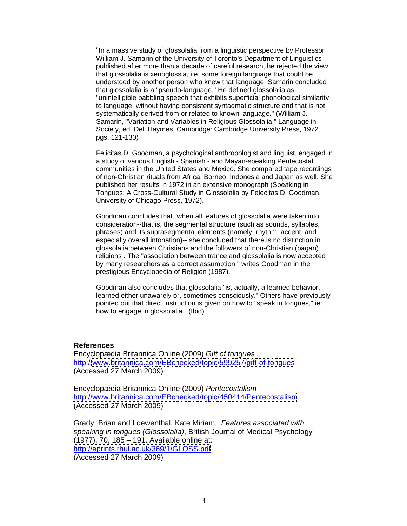"In a massive study of glossolalia from a linguistic perspective by Professor William J. Samarin of the University of Toronto's Department of Linguistics published after more than a decade of careful research, he rejected the view that glossolalia is xenoglossia, i.e. some foreign language that could be understood by another person who knew that language. Samarin concluded that glossolalia is a "pseudo-language." He defined glossolalia as "unintelligible babbling speech that exhibits superficial phonological similarity to language, without having consistent syntagmatic structure and that is not systematically derived from or related to known language." (William J. Samarin, "Variation and Variables in Religious Glossolalia," Language in Society, ed. Dell Haymes, Cambridge: Cambridge University Press, 1972 pgs. 121-130)

Felicitas D. Goodman, a psychological anthropologist and linguist, engaged in a study of various English - Spanish - and Mayan-speaking Pentecostal communities in the United States and Mexico. She compared tape recordings of non-Christian rituals from Africa, Borneo, Indonesia and Japan as well. She published her results in 1972 in an extensive monograph (Speaking in Tongues: A Cross-Cultural Study in Glossolalia by Felecitas D. Goodman, University of Chicago Press, 1972).

Goodman concludes that "when all features of glossolalia were taken into consideration--that is, the segmental structure (such as sounds, syllables, phrases) and its suprasegmental elements (namely, rhythm, accent, and especially overall intonation)-- she concluded that there is no distinction in glossolalia between Christians and the followers of non-Christian (pagan) religions . The "association between trance and glossolalia is now accepted by many researchers as a correct assumption," writes Goodman in the prestigious Encyclopedia of Religion (1987).

Goodman also concludes that glossolalia "is, actually, a learned behavior, learned either unawarely or, sometimes consciously." Others have previously pointed out that direct instruction is given on how to "speak in tongues," ie. how to engage in glossolalia." (Ibid)

### **References**

Encyclopædia Britannica Online (2009) Gift of tongues http:/[/www.britannica.com/EBchecked/topic/599257/gift-of-tongues](http://www.britannica.com/EBchecked/topic/599257/gift-of-tongues) (Accessed 27 March 2009)

Encyclopædia Britannica Online (2009) Pentecostalism <http://www.britannica.com/EBchecked/topic/450414/Pentecostalism> (Accessed 27 March 2009)

Grady, Brian and Loewenthal, Kate Miriam, Features associated with speaking in tongues (Glossolalia), British Journal of Medical Psychology (1977), 70, 185 – 191. Available online at: <http://eprints.rhul.ac.uk/369/1/GLOSS.pdf> (Accessed 27 March 2009)